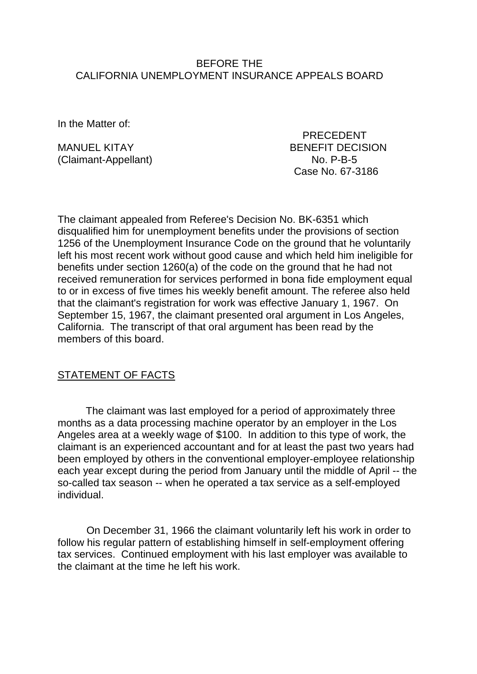#### BEFORE THE CALIFORNIA UNEMPLOYMENT INSURANCE APPEALS BOARD

In the Matter of:

(Claimant-Appellant) No. P-B-5

 PRECEDENT MANUEL KITAY BENEFIT DECISION Case No. 67-3186

The claimant appealed from Referee's Decision No. BK-6351 which disqualified him for unemployment benefits under the provisions of section 1256 of the Unemployment Insurance Code on the ground that he voluntarily left his most recent work without good cause and which held him ineligible for benefits under section 1260(a) of the code on the ground that he had not received remuneration for services performed in bona fide employment equal to or in excess of five times his weekly benefit amount. The referee also held that the claimant's registration for work was effective January 1, 1967. On September 15, 1967, the claimant presented oral argument in Los Angeles, California. The transcript of that oral argument has been read by the members of this board.

## STATEMENT OF FACTS

The claimant was last employed for a period of approximately three months as a data processing machine operator by an employer in the Los Angeles area at a weekly wage of \$100. In addition to this type of work, the claimant is an experienced accountant and for at least the past two years had been employed by others in the conventional employer-employee relationship each year except during the period from January until the middle of April -- the so-called tax season -- when he operated a tax service as a self-employed individual.

On December 31, 1966 the claimant voluntarily left his work in order to follow his regular pattern of establishing himself in self-employment offering tax services. Continued employment with his last employer was available to the claimant at the time he left his work.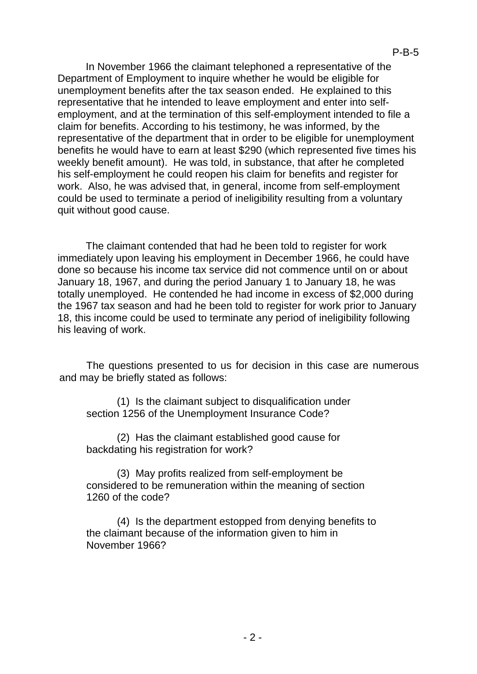In November 1966 the claimant telephoned a representative of the Department of Employment to inquire whether he would be eligible for unemployment benefits after the tax season ended. He explained to this representative that he intended to leave employment and enter into selfemployment, and at the termination of this self-employment intended to file a claim for benefits. According to his testimony, he was informed, by the representative of the department that in order to be eligible for unemployment benefits he would have to earn at least \$290 (which represented five times his weekly benefit amount). He was told, in substance, that after he completed his self-employment he could reopen his claim for benefits and register for work. Also, he was advised that, in general, income from self-employment could be used to terminate a period of ineligibility resulting from a voluntary quit without good cause.

The claimant contended that had he been told to register for work immediately upon leaving his employment in December 1966, he could have done so because his income tax service did not commence until on or about January 18, 1967, and during the period January 1 to January 18, he was totally unemployed. He contended he had income in excess of \$2,000 during the 1967 tax season and had he been told to register for work prior to January 18, this income could be used to terminate any period of ineligibility following his leaving of work.

The questions presented to us for decision in this case are numerous and may be briefly stated as follows:

(1) Is the claimant subject to disqualification under section 1256 of the Unemployment Insurance Code?

(2) Has the claimant established good cause for backdating his registration for work?

(3) May profits realized from self-employment be considered to be remuneration within the meaning of section 1260 of the code?

(4) Is the department estopped from denying benefits to the claimant because of the information given to him in November 1966?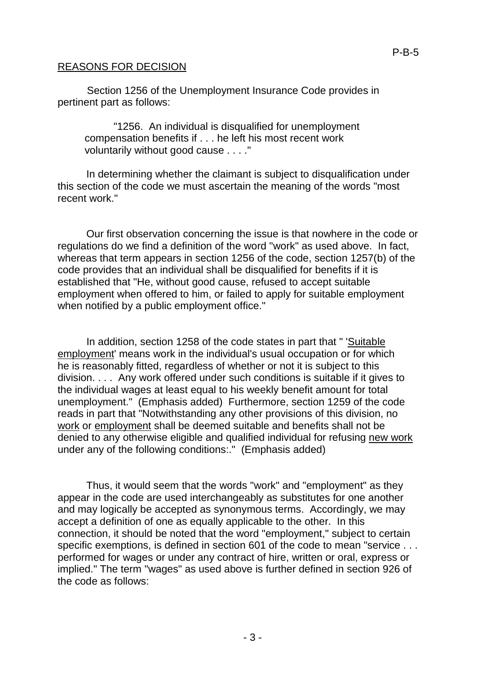#### REASONS FOR DECISION

Section 1256 of the Unemployment Insurance Code provides in pertinent part as follows:

"1256. An individual is disqualified for unemployment compensation benefits if . . . he left his most recent work voluntarily without good cause . . . ."

In determining whether the claimant is subject to disqualification under this section of the code we must ascertain the meaning of the words "most recent work."

Our first observation concerning the issue is that nowhere in the code or regulations do we find a definition of the word "work" as used above. In fact, whereas that term appears in section 1256 of the code, section 1257(b) of the code provides that an individual shall be disqualified for benefits if it is established that "He, without good cause, refused to accept suitable employment when offered to him, or failed to apply for suitable employment when notified by a public employment office."

In addition, section 1258 of the code states in part that " 'Suitable employment' means work in the individual's usual occupation or for which he is reasonably fitted, regardless of whether or not it is subject to this division. . . . Any work offered under such conditions is suitable if it gives to the individual wages at least equal to his weekly benefit amount for total unemployment." (Emphasis added) Furthermore, section 1259 of the code reads in part that "Notwithstanding any other provisions of this division, no work or employment shall be deemed suitable and benefits shall not be denied to any otherwise eligible and qualified individual for refusing new work under any of the following conditions:." (Emphasis added)

Thus, it would seem that the words "work" and "employment" as they appear in the code are used interchangeably as substitutes for one another and may logically be accepted as synonymous terms. Accordingly, we may accept a definition of one as equally applicable to the other. In this connection, it should be noted that the word "employment," subject to certain specific exemptions, is defined in section 601 of the code to mean "service . . . performed for wages or under any contract of hire, written or oral, express or implied." The term "wages" as used above is further defined in section 926 of the code as follows: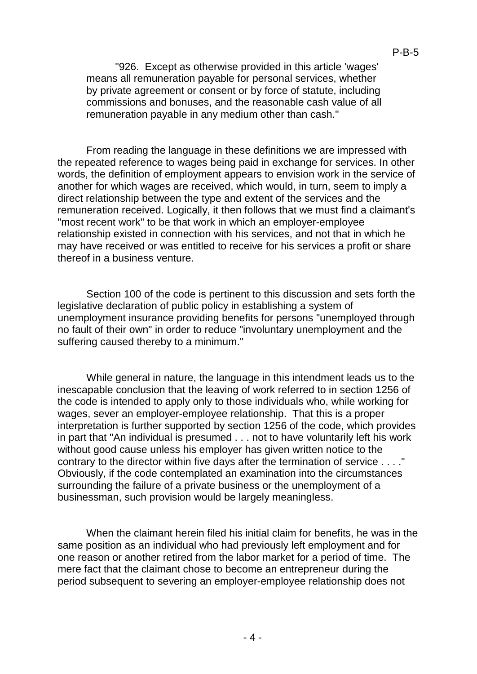"926. Except as otherwise provided in this article 'wages' means all remuneration payable for personal services, whether by private agreement or consent or by force of statute, including commissions and bonuses, and the reasonable cash value of all remuneration payable in any medium other than cash."

From reading the language in these definitions we are impressed with the repeated reference to wages being paid in exchange for services. In other words, the definition of employment appears to envision work in the service of another for which wages are received, which would, in turn, seem to imply a direct relationship between the type and extent of the services and the remuneration received. Logically, it then follows that we must find a claimant's "most recent work" to be that work in which an employer-employee relationship existed in connection with his services, and not that in which he may have received or was entitled to receive for his services a profit or share thereof in a business venture.

Section 100 of the code is pertinent to this discussion and sets forth the legislative declaration of public policy in establishing a system of unemployment insurance providing benefits for persons "unemployed through no fault of their own" in order to reduce "involuntary unemployment and the suffering caused thereby to a minimum."

While general in nature, the language in this intendment leads us to the inescapable conclusion that the leaving of work referred to in section 1256 of the code is intended to apply only to those individuals who, while working for wages, sever an employer-employee relationship. That this is a proper interpretation is further supported by section 1256 of the code, which provides in part that "An individual is presumed . . . not to have voluntarily left his work without good cause unless his employer has given written notice to the contrary to the director within five days after the termination of service . . . ." Obviously, if the code contemplated an examination into the circumstances surrounding the failure of a private business or the unemployment of a businessman, such provision would be largely meaningless.

When the claimant herein filed his initial claim for benefits, he was in the same position as an individual who had previously left employment and for one reason or another retired from the labor market for a period of time. The mere fact that the claimant chose to become an entrepreneur during the period subsequent to severing an employer-employee relationship does not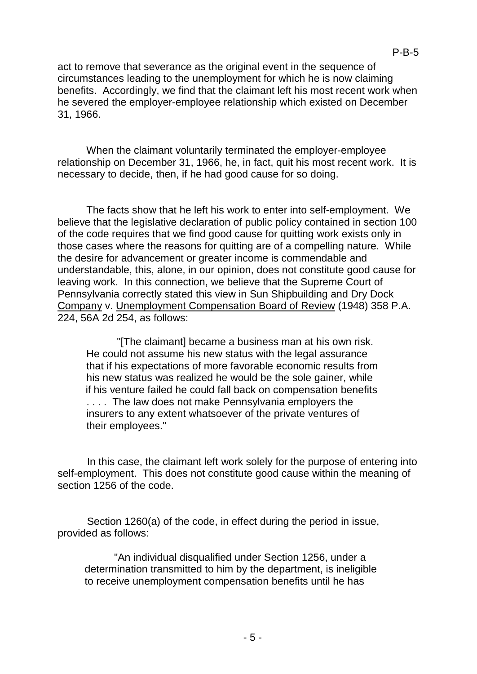act to remove that severance as the original event in the sequence of circumstances leading to the unemployment for which he is now claiming benefits. Accordingly, we find that the claimant left his most recent work when he severed the employer-employee relationship which existed on December 31, 1966.

When the claimant voluntarily terminated the employer-employee relationship on December 31, 1966, he, in fact, quit his most recent work. It is necessary to decide, then, if he had good cause for so doing.

The facts show that he left his work to enter into self-employment. We believe that the legislative declaration of public policy contained in section 100 of the code requires that we find good cause for quitting work exists only in those cases where the reasons for quitting are of a compelling nature. While the desire for advancement or greater income is commendable and understandable, this, alone, in our opinion, does not constitute good cause for leaving work. In this connection, we believe that the Supreme Court of Pennsylvania correctly stated this view in Sun Shipbuilding and Dry Dock Company v. Unemployment Compensation Board of Review (1948) 358 P.A. 224, 56A 2d 254, as follows:

"[The claimant] became a business man at his own risk. He could not assume his new status with the legal assurance that if his expectations of more favorable economic results from his new status was realized he would be the sole gainer, while if his venture failed he could fall back on compensation benefits . . . . The law does not make Pennsylvania employers the insurers to any extent whatsoever of the private ventures of their employees."

In this case, the claimant left work solely for the purpose of entering into self-employment. This does not constitute good cause within the meaning of section 1256 of the code.

Section 1260(a) of the code, in effect during the period in issue, provided as follows:

"An individual disqualified under Section 1256, under a determination transmitted to him by the department, is ineligible to receive unemployment compensation benefits until he has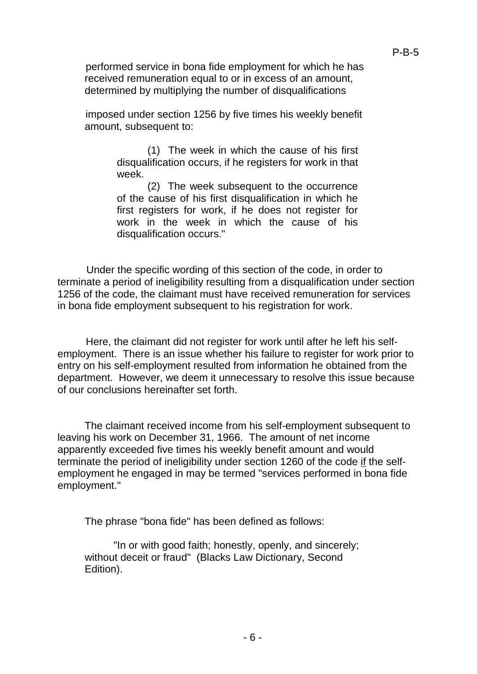performed service in bona fide employment for which he has received remuneration equal to or in excess of an amount, determined by multiplying the number of disqualifications

imposed under section 1256 by five times his weekly benefit amount, subsequent to:

> (1) The week in which the cause of his first disqualification occurs, if he registers for work in that week.

> (2) The week subsequent to the occurrence of the cause of his first disqualification in which he first registers for work, if he does not register for work in the week in which the cause of his disqualification occurs."

Under the specific wording of this section of the code, in order to terminate a period of ineligibility resulting from a disqualification under section 1256 of the code, the claimant must have received remuneration for services in bona fide employment subsequent to his registration for work.

Here, the claimant did not register for work until after he left his selfemployment. There is an issue whether his failure to register for work prior to entry on his self-employment resulted from information he obtained from the department. However, we deem it unnecessary to resolve this issue because of our conclusions hereinafter set forth.

The claimant received income from his self-employment subsequent to leaving his work on December 31, 1966. The amount of net income apparently exceeded five times his weekly benefit amount and would terminate the period of ineligibility under section 1260 of the code if the selfemployment he engaged in may be termed "services performed in bona fide employment."

The phrase "bona fide" has been defined as follows:

"In or with good faith; honestly, openly, and sincerely; without deceit or fraud" (Blacks Law Dictionary, Second Edition).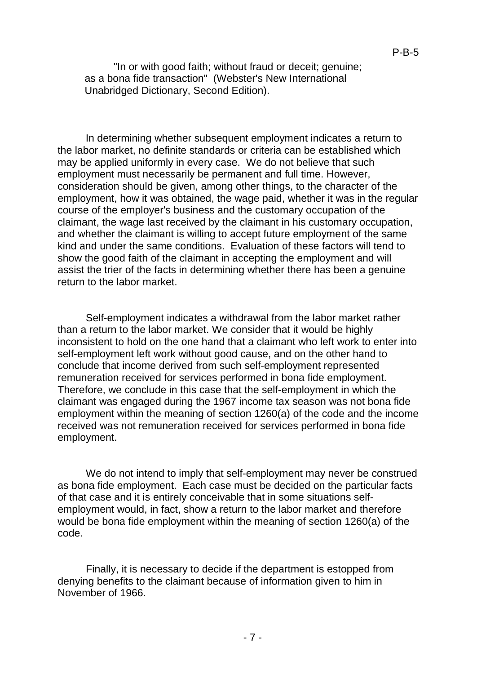"In or with good faith; without fraud or deceit; genuine; as a bona fide transaction" (Webster's New International Unabridged Dictionary, Second Edition).

In determining whether subsequent employment indicates a return to the labor market, no definite standards or criteria can be established which may be applied uniformly in every case. We do not believe that such employment must necessarily be permanent and full time. However, consideration should be given, among other things, to the character of the employment, how it was obtained, the wage paid, whether it was in the regular course of the employer's business and the customary occupation of the claimant, the wage last received by the claimant in his customary occupation, and whether the claimant is willing to accept future employment of the same kind and under the same conditions. Evaluation of these factors will tend to show the good faith of the claimant in accepting the employment and will assist the trier of the facts in determining whether there has been a genuine return to the labor market.

Self-employment indicates a withdrawal from the labor market rather than a return to the labor market. We consider that it would be highly inconsistent to hold on the one hand that a claimant who left work to enter into self-employment left work without good cause, and on the other hand to conclude that income derived from such self-employment represented remuneration received for services performed in bona fide employment. Therefore, we conclude in this case that the self-employment in which the claimant was engaged during the 1967 income tax season was not bona fide employment within the meaning of section 1260(a) of the code and the income received was not remuneration received for services performed in bona fide employment.

We do not intend to imply that self-employment may never be construed as bona fide employment. Each case must be decided on the particular facts of that case and it is entirely conceivable that in some situations selfemployment would, in fact, show a return to the labor market and therefore would be bona fide employment within the meaning of section 1260(a) of the code.

Finally, it is necessary to decide if the department is estopped from denying benefits to the claimant because of information given to him in November of 1966.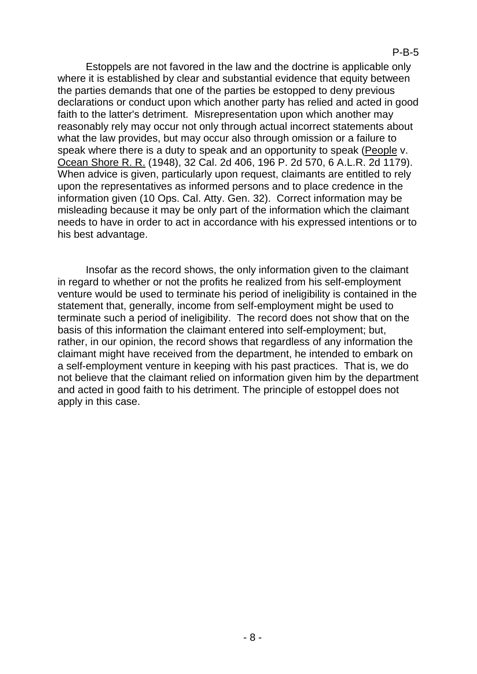Estoppels are not favored in the law and the doctrine is applicable only where it is established by clear and substantial evidence that equity between the parties demands that one of the parties be estopped to deny previous declarations or conduct upon which another party has relied and acted in good faith to the latter's detriment. Misrepresentation upon which another may reasonably rely may occur not only through actual incorrect statements about what the law provides, but may occur also through omission or a failure to speak where there is a duty to speak and an opportunity to speak (People v. Ocean Shore R. R. (1948), 32 Cal. 2d 406, 196 P. 2d 570, 6 A.L.R. 2d 1179). When advice is given, particularly upon request, claimants are entitled to rely upon the representatives as informed persons and to place credence in the information given (10 Ops. Cal. Atty. Gen. 32). Correct information may be misleading because it may be only part of the information which the claimant needs to have in order to act in accordance with his expressed intentions or to his best advantage.

Insofar as the record shows, the only information given to the claimant in regard to whether or not the profits he realized from his self-employment venture would be used to terminate his period of ineligibility is contained in the statement that, generally, income from self-employment might be used to terminate such a period of ineligibility. The record does not show that on the basis of this information the claimant entered into self-employment; but, rather, in our opinion, the record shows that regardless of any information the claimant might have received from the department, he intended to embark on a self-employment venture in keeping with his past practices. That is, we do not believe that the claimant relied on information given him by the department and acted in good faith to his detriment. The principle of estoppel does not apply in this case.